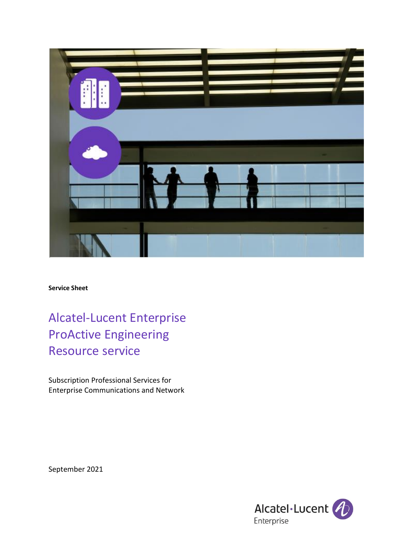

**Service Sheet**

Alcatel-Lucent Enterprise ProActive Engineering Resource service

Subscription Professional Services for Enterprise Communications and Network

September 2021

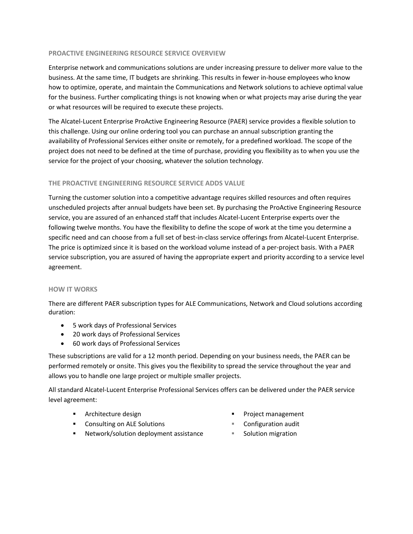## **PROACTIVE ENGINEERING RESOURCE SERVICE OVERVIEW**

Enterprise network and communications solutions are under increasing pressure to deliver more value to the business. At the same time, IT budgets are shrinking. This results in fewer in-house employees who know how to optimize, operate, and maintain the Communications and Network solutions to achieve optimal value for the business. Further complicating things is not knowing when or what projects may arise during the year or what resources will be required to execute these projects.

The Alcatel-Lucent Enterprise ProActive Engineering Resource (PAER) service provides a flexible solution to this challenge. Using our online ordering tool you can purchase an annual subscription granting the availability of Professional Services either onsite or remotely, for a predefined workload. The scope of the project does not need to be defined at the time of purchase, providing you flexibility as to when you use the service for the project of your choosing, whatever the solution technology.

# **THE PROACTIVE ENGINEERING RESOURCE SERVICE ADDS VALUE**

Turning the customer solution into a competitive advantage requires skilled resources and often requires unscheduled projects after annual budgets have been set. By purchasing the ProActive Engineering Resource service, you are assured of an enhanced staff that includes Alcatel-Lucent Enterprise experts over the following twelve months. You have the flexibility to define the scope of work at the time you determine a specific need and can choose from a full set of best-in-class service offerings from Alcatel-Lucent Enterprise. The price is optimized since it is based on the workload volume instead of a per-project basis. With a PAER service subscription, you are assured of having the appropriate expert and priority according to a service level agreement.

## **HOW IT WORKS**

There are different PAER subscription types for ALE Communications, Network and Cloud solutions according duration:

- 5 work days of Professional Services
- 20 work days of Professional Services
- 60 work days of Professional Services

These subscriptions are valid for a 12 month period. Depending on your business needs, the PAER can be performed remotely or onsite. This gives you the flexibility to spread the service throughout the year and allows you to handle one large project or multiple smaller projects.

All standard Alcatel-Lucent Enterprise Professional Services offers can be delivered under the PAER service level agreement:

▪ Architecture design

Project management

- Consulting on ALE Solutions
- Network/solution deployment assistance
- Configuration audit
- Solution migration